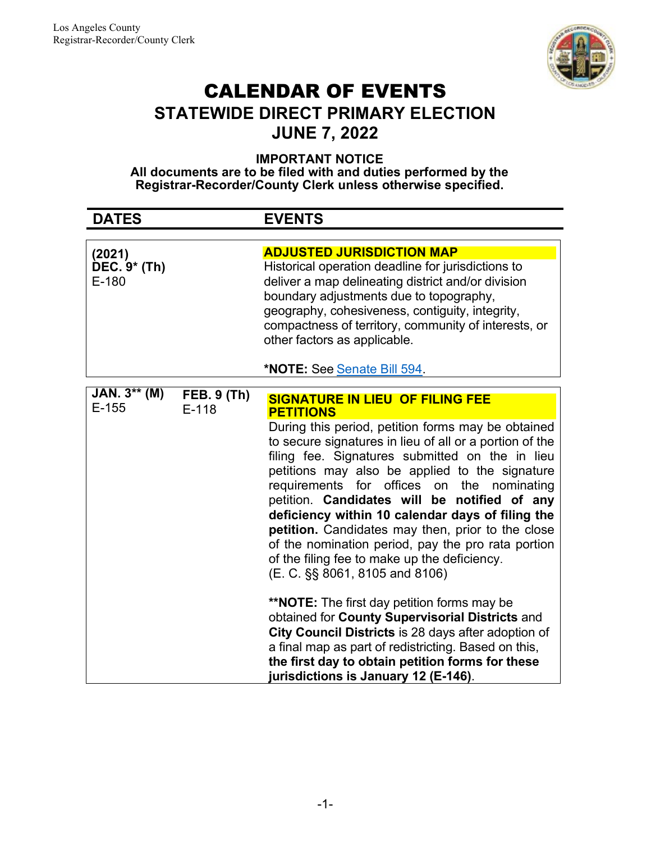

# CALENDAR OF EVENTS STATEWIDE DIRECT PRIMARY ELECTION JUNE 7, 2022

IMPORTANT NOTICE

All documents are to be filed with and duties performed by the Registrar-Recorder/County Clerk unless otherwise specified.

| <b>DATES</b>                                  |                               | <b>EVENTS</b>                                                                                                                                                                                                                                                                                                                                                                                                                                                                                                                                                                                                                                                                         |
|-----------------------------------------------|-------------------------------|---------------------------------------------------------------------------------------------------------------------------------------------------------------------------------------------------------------------------------------------------------------------------------------------------------------------------------------------------------------------------------------------------------------------------------------------------------------------------------------------------------------------------------------------------------------------------------------------------------------------------------------------------------------------------------------|
|                                               |                               |                                                                                                                                                                                                                                                                                                                                                                                                                                                                                                                                                                                                                                                                                       |
| (2021)<br>$\overline{DEC}.9*$ (Th)<br>$E-180$ |                               | <b>ADJUSTED JURISDICTION MAP</b><br>Historical operation deadline for jurisdictions to<br>deliver a map delineating district and/or division<br>boundary adjustments due to topography,<br>geography, cohesiveness, contiguity, integrity,<br>compactness of territory, community of interests, or<br>other factors as applicable.                                                                                                                                                                                                                                                                                                                                                    |
|                                               |                               | <b>*NOTE: See Senate Bill 594.</b>                                                                                                                                                                                                                                                                                                                                                                                                                                                                                                                                                                                                                                                    |
| $JAN. 3** (M)$<br>$E-155$                     | <b>FEB. 9 (Th)</b><br>$E-118$ | <b>SIGNATURE IN LIEU OF FILING FEE</b><br><b>PETITIONS</b><br>During this period, petition forms may be obtained<br>to secure signatures in lieu of all or a portion of the<br>filing fee. Signatures submitted on the in lieu<br>petitions may also be applied to the signature<br>requirements for offices on the nominating<br>petition. Candidates will be notified of any<br>deficiency within 10 calendar days of filing the<br>petition. Candidates may then, prior to the close<br>of the nomination period, pay the pro rata portion<br>of the filing fee to make up the deficiency.<br>(E. C. §§ 8061, 8105 and 8106)<br><b>**NOTE:</b> The first day petition forms may be |
|                                               |                               | obtained for County Supervisorial Districts and<br>City Council Districts is 28 days after adoption of<br>a final map as part of redistricting. Based on this,<br>the first day to obtain petition forms for these<br>jurisdictions is January 12 (E-146).                                                                                                                                                                                                                                                                                                                                                                                                                            |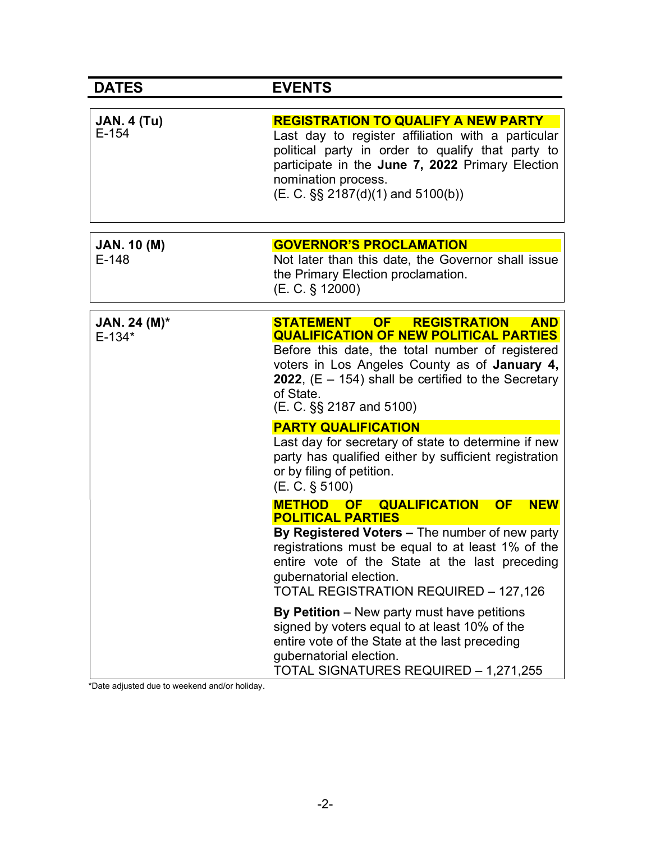| <b>DATES</b>                  | <b>EVENTS</b>                                                                                                                                                                                                                                                                                                       |
|-------------------------------|---------------------------------------------------------------------------------------------------------------------------------------------------------------------------------------------------------------------------------------------------------------------------------------------------------------------|
| <b>JAN. 4 (Tu)</b><br>$E-154$ | <b>REGISTRATION TO QUALIFY A NEW PARTY</b><br>Last day to register affiliation with a particular<br>political party in order to qualify that party to<br>participate in the June 7, 2022 Primary Election<br>nomination process.<br>$(E. C. \S\S 2187(d)(1)$ and 5100(b))                                           |
| <b>JAN. 10 (M)</b><br>$E-148$ | <b>GOVERNOR'S PROCLAMATION</b><br>Not later than this date, the Governor shall issue<br>the Primary Election proclamation.<br>(E. C. § 12000)                                                                                                                                                                       |
| JAN. 24 (M)*<br>$E-134*$      | <b>STATEMENT</b><br>OF<br><b>REGISTRATION</b><br><b>AND</b><br><b>QUALIFICATION OF NEW POLITICAL PARTIES</b><br>Before this date, the total number of registered<br>voters in Los Angeles County as of January 4,<br>2022, $(E - 154)$ shall be certified to the Secretary<br>of State.<br>(E. C. §§ 2187 and 5100) |
|                               | <b>PARTY QUALIFICATION</b><br>Last day for secretary of state to determine if new<br>party has qualified either by sufficient registration<br>or by filing of petition.<br>(E. C. § 5100)                                                                                                                           |
|                               | METHOD OF QUALIFICATION<br><b>OF</b><br><b>NEW</b><br><b>POLITICAL PARTIES</b>                                                                                                                                                                                                                                      |
|                               | By Registered Voters - The number of new party<br>registrations must be equal to at least 1% of the<br>entire vote of the State at the last preceding<br>gubernatorial election.<br><b>TOTAL REGISTRATION REQUIRED - 127,126</b>                                                                                    |
|                               | By Petition - New party must have petitions<br>signed by voters equal to at least 10% of the<br>entire vote of the State at the last preceding<br>gubernatorial election.<br>TOTAL SIGNATURES REQUIRED - 1,271,255                                                                                                  |

\*Date adjusted due to weekend and/or holiday.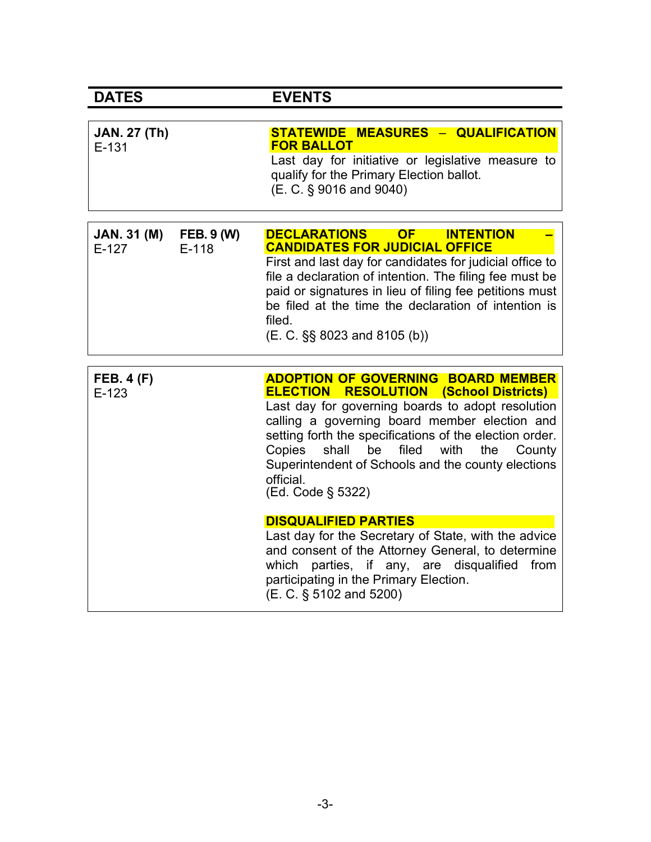| <b>DATES</b>                   |                              | <b>EVENTS</b>                                                                                                                                                                                                                                                                                                                                                                                                  |
|--------------------------------|------------------------------|----------------------------------------------------------------------------------------------------------------------------------------------------------------------------------------------------------------------------------------------------------------------------------------------------------------------------------------------------------------------------------------------------------------|
|                                |                              |                                                                                                                                                                                                                                                                                                                                                                                                                |
| <b>JAN. 27 (Th)</b><br>$E-131$ |                              | STATEWIDE MEASURES - QUALIFICATION<br><b>FOR BALLOT</b><br>Last day for initiative or legislative measure to<br>qualify for the Primary Election ballot.<br>(E. C. § 9016 and 9040)                                                                                                                                                                                                                            |
| <b>JAN. 31 (M)</b><br>$E-127$  | <b>FEB. 9 (W)</b><br>$E-118$ | DECLARATIONS OF<br><b>INTENTION</b><br><b>CANDIDATES FOR JUDICIAL OFFICE</b><br>First and last day for candidates for judicial office to<br>file a declaration of intention. The filing fee must be<br>paid or signatures in lieu of filing fee petitions must<br>be filed at the time the declaration of intention is<br>filed.<br>$(E. C. \S\S 8023$ and 8105 (b))                                           |
|                                |                              |                                                                                                                                                                                                                                                                                                                                                                                                                |
| <b>FEB. 4 (F)</b><br>$E-123$   |                              | <b>ADOPTION OF GOVERNING BOARD MEMBER</b><br><b>ELECTION RESOLUTION (School Districts)</b><br>Last day for governing boards to adopt resolution<br>calling a governing board member election and<br>setting forth the specifications of the election order.<br>filed<br>Copies<br>shall<br>with<br>be<br>the<br>County<br>Superintendent of Schools and the county elections<br>official.<br>(Ed. Code § 5322) |
|                                |                              | <b>DISQUALIFIED PARTIES</b><br>Last day for the Secretary of State, with the advice<br>and consent of the Attorney General, to determine<br>parties, if any, are disqualified<br>which<br>from<br>participating in the Primary Election.<br>(E. C. § 5102 and 5200)                                                                                                                                            |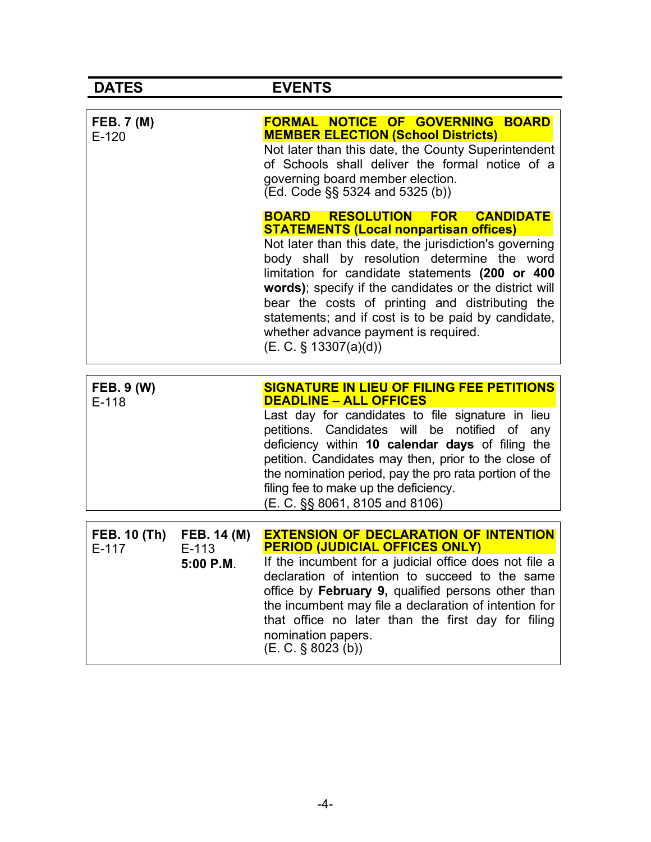| <b>DATES</b>                 |                                     | <b>EVENTS</b>                                                                                                                                                                                                                                                                                                                                                                                                                                                                                                         |
|------------------------------|-------------------------------------|-----------------------------------------------------------------------------------------------------------------------------------------------------------------------------------------------------------------------------------------------------------------------------------------------------------------------------------------------------------------------------------------------------------------------------------------------------------------------------------------------------------------------|
| <b>FEB. 7 (M)</b><br>$E-120$ |                                     | <b>FORMAL NOTICE OF GOVERNING BOARD</b><br><b>MEMBER ELECTION (School Districts)</b><br>Not later than this date, the County Superintendent<br>of Schools shall deliver the formal notice of a<br>governing board member election.<br>(Ed. Code §§ 5324 and 5325 (b))                                                                                                                                                                                                                                                 |
|                              |                                     | <b>RESOLUTION</b><br><b>CANDIDATE</b><br><b>BOARD</b><br><b>FOR</b><br><b>STATEMENTS (Local nonpartisan offices)</b><br>Not later than this date, the jurisdiction's governing<br>body shall by resolution determine the word<br>limitation for candidate statements (200 or 400<br>words); specify if the candidates or the district will<br>bear the costs of printing and distributing the<br>statements; and if cost is to be paid by candidate,<br>whether advance payment is required.<br>(E. C. § 13307(a)(d)) |
| <b>FEB. 9 (W)</b><br>$E-118$ |                                     | SIGNATURE IN LIEU OF FILING FEE PETITIONS<br><b>DEADLINE - ALL OFFICES</b><br>Last day for candidates to file signature in lieu<br>petitions. Candidates will be<br>notified of<br>any<br>deficiency within 10 calendar days of filing the<br>petition. Candidates may then, prior to the close of<br>the nomination period, pay the pro rata portion of the<br>filing fee to make up the deficiency.<br>(E. C. §§ 8061, 8105 and 8106)                                                                               |
| <b>FEB. 10 (Th)</b><br>E-117 | FEB. 14 (M)<br>$E-113$<br>5:00 P.M. | <b>EXTENSION OF DECLARATION OF INTENTION</b><br><u>PERIOD (JUDICIAL OFFICES ONLY)  </u><br>If the incumbent for a judicial office does not file a<br>declaration of intention to succeed to the same<br>office by February 9, qualified persons other than<br>the incumbent may file a declaration of intention for<br>that office no later than the first day for filing<br>nomination papers.<br>$(E. C. \S 8023(b))$                                                                                               |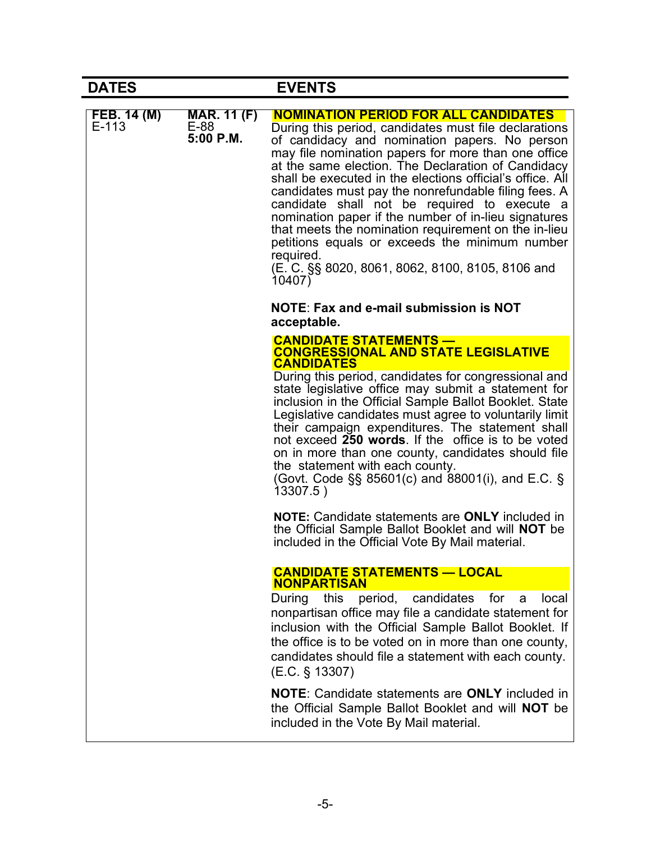| <b>DATES</b>         |                                         | <b>EVENTS</b>                                                                                                                                                                                                                                                                                                                                                                                                                                                                                                                                                                                                                                                                                                                                                                               |
|----------------------|-----------------------------------------|---------------------------------------------------------------------------------------------------------------------------------------------------------------------------------------------------------------------------------------------------------------------------------------------------------------------------------------------------------------------------------------------------------------------------------------------------------------------------------------------------------------------------------------------------------------------------------------------------------------------------------------------------------------------------------------------------------------------------------------------------------------------------------------------|
| FEB. 14 (M)<br>E-113 | <b>MAR. 11 (F)</b><br>E-88<br>5:00 P.M. | <b>NOMINATION PERIOD FOR ALL CANDIDATES</b><br>During this period, candidates must file declarations<br>of candidacy and nomination papers. No person<br>may file nomination papers for more than one office<br>at the same election. The Declaration of Candidacy<br>shall be executed in the elections official's office. All<br>candidates must pay the nonrefundable filing fees. A<br>candidate shall not be required to execute a<br>nomination paper if the number of in-lieu signatures<br>that meets the nomination requirement on the in-lieu<br>petitions equals or exceeds the minimum number<br>required.<br>(E. C. §§ 8020, 8061, 8062, 8100, 8105, 8106 and<br>10407)                                                                                                        |
|                      |                                         | <b>NOTE: Fax and e-mail submission is NOT</b><br>acceptable.                                                                                                                                                                                                                                                                                                                                                                                                                                                                                                                                                                                                                                                                                                                                |
|                      |                                         | <b>CANDIDATE STATEMENTS —</b><br><b>CONGRESSIONAL AND STATE LEGISLATIVE</b><br><b>CANDIDATES</b><br>During this period, candidates for congressional and<br>state legislative office may submit a statement for<br>inclusion in the Official Sample Ballot Booklet. State<br>Legislative candidates must agree to voluntarily limit<br>their campaign expenditures. The statement shall<br>not exceed 250 words. If the office is to be voted<br>on in more than one county, candidates should file<br>the statement with each county.<br>(Govt. Code $\S$ § 85601(c) and 88001(i), and E.C. §<br>13307.5)<br><b>NOTE:</b> Candidate statements are <b>ONLY</b> included in<br>the Official Sample Ballot Booklet and will <b>NOT</b> be<br>included in the Official Vote By Mail material. |
|                      |                                         | <b>CANDIDATE STATEMENTS - LOCAL</b><br><b>NONPARTISAN</b><br>During this period, candidates<br>for<br>local<br>a<br>nonpartisan office may file a candidate statement for<br>inclusion with the Official Sample Ballot Booklet. If<br>the office is to be voted on in more than one county,<br>candidates should file a statement with each county.<br>(E.C. § 13307)<br><b>NOTE:</b> Candidate statements are <b>ONLY</b> included in<br>the Official Sample Ballot Booklet and will <b>NOT</b> be<br>included in the Vote By Mail material.                                                                                                                                                                                                                                               |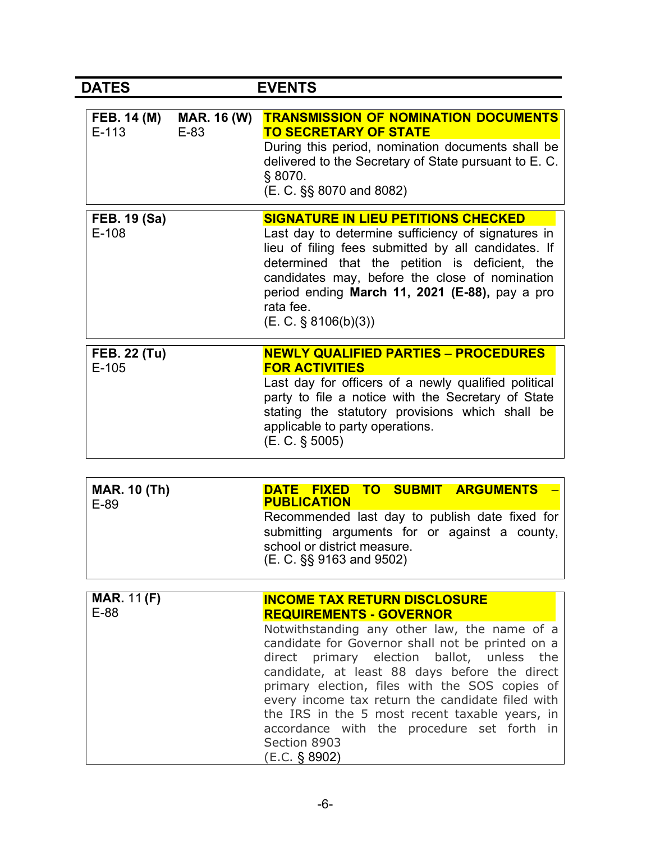| <b>DATES</b>                                                  | <b>EVENTS</b>                                                                                                                                                                                                                                                                                                                                                                                                                                                                  |
|---------------------------------------------------------------|--------------------------------------------------------------------------------------------------------------------------------------------------------------------------------------------------------------------------------------------------------------------------------------------------------------------------------------------------------------------------------------------------------------------------------------------------------------------------------|
| <b>FEB. 14 (M)</b><br><b>MAR. 16 (W)</b><br>$E-113$<br>$E-83$ | <b>TRANSMISSION OF NOMINATION DOCUMENTS</b><br><b>TO SECRETARY OF STATE</b><br>During this period, nomination documents shall be<br>delivered to the Secretary of State pursuant to E. C.<br>§ 8070.<br>(E. C. §§ 8070 and 8082)                                                                                                                                                                                                                                               |
| <b>FEB. 19 (Sa)</b><br>$E-108$                                | <b>SIGNATURE IN LIEU PETITIONS CHECKED</b><br>Last day to determine sufficiency of signatures in<br>lieu of filing fees submitted by all candidates. If<br>determined that the petition is deficient, the<br>candidates may, before the close of nomination<br>period ending March 11, 2021 (E-88), pay a pro<br>rata fee.<br>(E. C. § 8106(b)(3))                                                                                                                             |
| <b>FEB. 22 (Tu)</b><br>$E-105$                                | <b>NEWLY QUALIFIED PARTIES - PROCEDURES</b><br><b>FOR ACTIVITIES</b><br>Last day for officers of a newly qualified political<br>party to file a notice with the Secretary of State<br>stating the statutory provisions which shall be<br>applicable to party operations.<br>(E. C. § 5005)                                                                                                                                                                                     |
| <b>MAR. 10 (Th)</b><br>$E-89$                                 | DATE FIXED TO SUBMIT ARGUMENTS<br><b>PUBLICATION</b><br>Recommended last day to publish date fixed for<br>submitting arguments for or against a county,<br>school or district measure<br>(E. C. §§ 9163 and 9502)                                                                                                                                                                                                                                                              |
| <b>MAR. 11 (F)</b><br>$E-88$                                  | <b>INCOME TAX RETURN DISCLOSURE</b><br><b>REQUIREMENTS - GOVERNOR</b><br>Notwithstanding any other law, the name of a<br>candidate for Governor shall not be printed on a<br>direct primary election ballot, unless the<br>candidate, at least 88 days before the direct<br>primary election, files with the SOS copies of<br>every income tax return the candidate filed with<br>the IRS in the 5 most recent taxable years, in<br>accordance with the procedure set forth in |

Section 8903 (E.C. § 8902)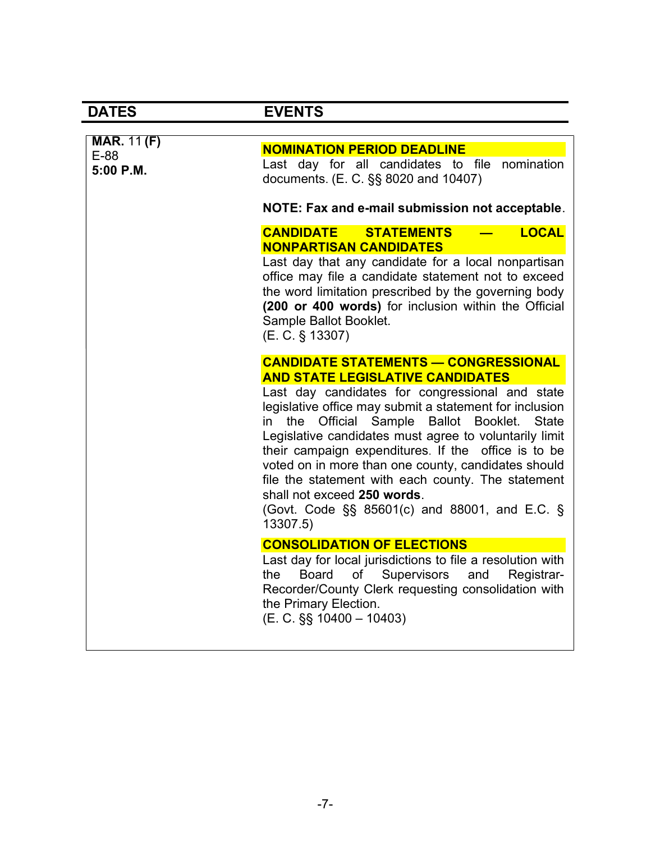$\overline{\phantom{a}}$ 

| <b>MAR. 11 (F)</b><br>E-88<br>5:00 P.M. | <b>NOMINATION PERIOD DEADLINE</b><br>Last day for all candidates to file nomination<br>documents. (E. C. §§ 8020 and 10407)<br>NOTE: Fax and e-mail submission not acceptable.                                                                                                                                                                                                                                                                                                                                                                                                                                  |
|-----------------------------------------|-----------------------------------------------------------------------------------------------------------------------------------------------------------------------------------------------------------------------------------------------------------------------------------------------------------------------------------------------------------------------------------------------------------------------------------------------------------------------------------------------------------------------------------------------------------------------------------------------------------------|
|                                         | <b>LOCAL</b><br><b>CANDIDATE</b><br><b>STATEMENTS</b><br><b>NONPARTISAN CANDIDATES</b><br>Last day that any candidate for a local nonpartisan<br>office may file a candidate statement not to exceed<br>the word limitation prescribed by the governing body<br>(200 or 400 words) for inclusion within the Official<br>Sample Ballot Booklet.<br>(E. C. § 13307)                                                                                                                                                                                                                                               |
|                                         | <b>CANDIDATE STATEMENTS - CONGRESSIONAL</b><br><b>AND STATE LEGISLATIVE CANDIDATES</b><br>Last day candidates for congressional and state<br>legislative office may submit a statement for inclusion<br>Official Sample<br>Ballot<br><b>State</b><br>the<br>Booklet.<br>$\mathsf{in}$<br>Legislative candidates must agree to voluntarily limit<br>their campaign expenditures. If the office is to be<br>voted on in more than one county, candidates should<br>file the statement with each county. The statement<br>shall not exceed 250 words.<br>(Govt. Code §§ 85601(c) and 88001, and E.C. §<br>13307.5) |
|                                         | <b>CONSOLIDATION OF ELECTIONS</b><br>Last day for local jurisdictions to file a resolution with<br>of Supervisors and Registrar-<br>Board<br>the<br>Recorder/County Clerk requesting consolidation with<br>the Primary Election.<br>$(E. C. \S\S 10400 - 10403)$                                                                                                                                                                                                                                                                                                                                                |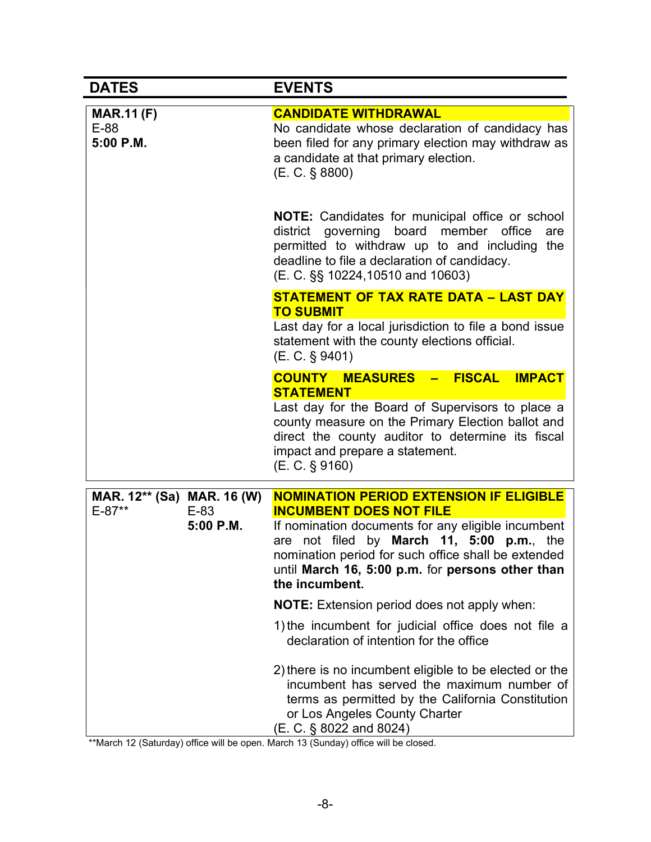| <b>DATES</b>                                                  | <b>EVENTS</b>                                                                                                                                                                                                                                                                                                    |
|---------------------------------------------------------------|------------------------------------------------------------------------------------------------------------------------------------------------------------------------------------------------------------------------------------------------------------------------------------------------------------------|
| <b>MAR.11 (F)</b><br>E-88<br>5:00 P.M.                        | <b>CANDIDATE WITHDRAWAL</b><br>No candidate whose declaration of candidacy has<br>been filed for any primary election may withdraw as<br>a candidate at that primary election.<br>(E. C. § 8800)                                                                                                                 |
|                                                               | NOTE: Candidates for municipal office or school<br>district governing board member office<br>are<br>permitted to withdraw up to and including<br>the<br>deadline to file a declaration of candidacy.<br>(E. C. §§ 10224,10510 and 10603)                                                                         |
|                                                               | <b>STATEMENT OF TAX RATE DATA - LAST DAY</b><br><b>TO SUBMIT</b><br>Last day for a local jurisdiction to file a bond issue<br>statement with the county elections official.<br>(E. C. § 9401)                                                                                                                    |
|                                                               | <b>COUNTY MEASURES - FISCAL</b><br><b>IMPACT</b><br><b>STATEMENT</b><br>Last day for the Board of Supervisors to place a<br>county measure on the Primary Election ballot and<br>direct the county auditor to determine its fiscal<br>impact and prepare a statement.<br>(E. C. § 9160)                          |
| MAR. 12** (Sa) MAR. 16 (W)<br>$E - 87**$<br>E-83<br>5:00 P.M. | <b>NOMINATION PERIOD EXTENSION IF ELIGIBLE</b><br><b>INCUMBENT DOES NOT FILE</b><br>If nomination documents for any eligible incumbent<br>are not filed by March 11, 5:00 p.m., the<br>nomination period for such office shall be extended<br>until March 16, 5:00 p.m. for persons other than<br>the incumbent. |
|                                                               | <b>NOTE:</b> Extension period does not apply when:                                                                                                                                                                                                                                                               |
|                                                               | 1) the incumbent for judicial office does not file a<br>declaration of intention for the office                                                                                                                                                                                                                  |
|                                                               | 2) there is no incumbent eligible to be elected or the<br>incumbent has served the maximum number of<br>terms as permitted by the California Constitution<br>or Los Angeles County Charter<br>(E. C. § 8022 and 8024)                                                                                            |

\*\*March 12 (Saturday) office will be open. March 13 (Sunday) office will be closed.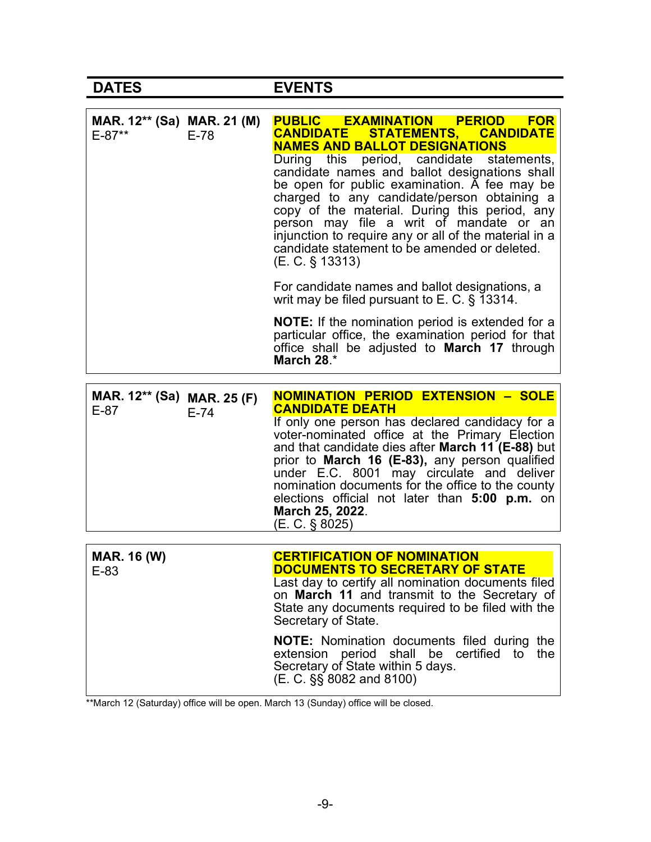| MAR. 12** (Sa) MAR. 21 (M)<br>E-87** | $E-78$ | PUBLIC EXAMINATION PERIOD FOR<br>STATEMENTS, CANDIDATE<br><b>CANDIDATE</b><br><b>NAMES AND BALLOT DESIGNATIONS</b><br>period, candidate<br>During this<br>statements,<br>candidate names and ballot designations shall<br>be open for public examination. A fee may be<br>charged to any candidate/person obtaining a<br>copy of the material. During this period, any<br>person may file a writ of mandate or an<br>injunction to require any or all of the material in a<br>candidate statement to be amended or deleted.<br>$(E. C. \S 13313)$<br>For candidate names and ballot designations, a<br>writ may be filed pursuant to E. C. $\S$ 13314. |
|--------------------------------------|--------|--------------------------------------------------------------------------------------------------------------------------------------------------------------------------------------------------------------------------------------------------------------------------------------------------------------------------------------------------------------------------------------------------------------------------------------------------------------------------------------------------------------------------------------------------------------------------------------------------------------------------------------------------------|
|                                      |        | <b>NOTE:</b> If the nomination period is extended for a<br>particular office, the examination period for that<br>office shall be adjusted to <b>March 17</b> through<br>March 28.*                                                                                                                                                                                                                                                                                                                                                                                                                                                                     |
|                                      |        |                                                                                                                                                                                                                                                                                                                                                                                                                                                                                                                                                                                                                                                        |
| MAR. 12** (Sa) MAR. 25 (F)<br>$E-87$ | $E-74$ | <b>NOMINATION PERIOD EXTENSION - SOLE</b><br><b>CANDIDATE DEATH</b><br>If only one person has declared candidacy for a<br>voter-nominated office at the Primary Election<br>and that candidate dies after March 11 (E-88) but<br>prior to March 16 (E-83), any person qualified<br>under E.C. 8001 may circulate and deliver<br>nomination documents for the office to the county<br>elections official not later than 5:00 p.m. on<br>March 25, 2022.<br>(E. C. § 8025)                                                                                                                                                                               |

\*\*March 12 (Saturday) office will be open. March 13 (Sunday) office will be closed.

Secretary of State within 5 days.

(E. C. §§ 8082 and 8100)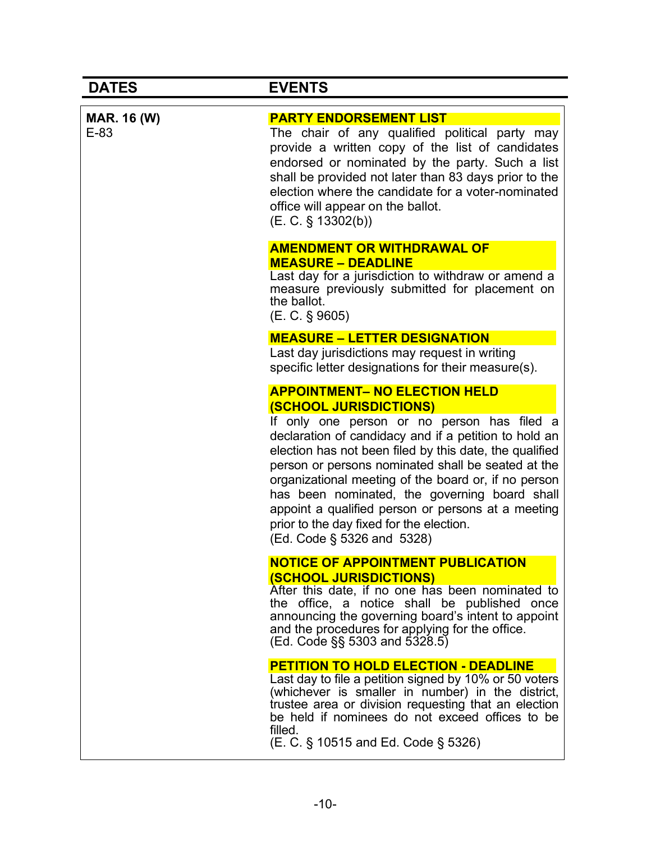| <b>MAR. 16 (W)</b><br>$E-83$ | <b>PARTY ENDORSEMENT LIST</b><br>The chair of any qualified political party may<br>provide a written copy of the list of candidates<br>endorsed or nominated by the party. Such a list<br>shall be provided not later than 83 days prior to the<br>election where the candidate for a voter-nominated<br>office will appear on the ballot.<br>(E. C. § 13302(b))                                                                                                                                                                        |
|------------------------------|-----------------------------------------------------------------------------------------------------------------------------------------------------------------------------------------------------------------------------------------------------------------------------------------------------------------------------------------------------------------------------------------------------------------------------------------------------------------------------------------------------------------------------------------|
|                              | <b>AMENDMENT OR WITHDRAWAL OF</b><br><b>MEASURE - DEADLINE</b><br>Last day for a jurisdiction to withdraw or amend a<br>measure previously submitted for placement on<br>the ballot.<br>$(E. C. \S 9605)$                                                                                                                                                                                                                                                                                                                               |
|                              | <b>MEASURE - LETTER DESIGNATION</b><br>Last day jurisdictions may request in writing<br>specific letter designations for their measure(s).                                                                                                                                                                                                                                                                                                                                                                                              |
|                              | <b>APPOINTMENT- NO ELECTION HELD</b><br><b>(SCHOOL JURISDICTIONS)</b><br>If only one person or no person has filed a<br>declaration of candidacy and if a petition to hold an<br>election has not been filed by this date, the qualified<br>person or persons nominated shall be seated at the<br>organizational meeting of the board or, if no person<br>has been nominated, the governing board shall<br>appoint a qualified person or persons at a meeting<br>prior to the day fixed for the election.<br>(Ed. Code § 5326 and 5328) |
|                              | <b>NOTICE OF APPOINTMENT PUBLICATION</b><br><b>(SCHOOL JURISDICTIONS)</b><br>After this date, if no one has been nominated to<br>the office, a notice shall be published once<br>announcing the governing board's intent to appoint<br>and the procedures for applying for the office.<br>(Ed. Code §§ 5303 and 5328.5)                                                                                                                                                                                                                 |
|                              | <b>PETITION TO HOLD ELECTION - DEADLINE</b><br>Last day to file a petition signed by 10% or 50 voters<br>(whichever is smaller in number) in the district,<br>trustee area or division requesting that an election<br>be held if nominees do not exceed offices to be<br>filled.<br>(E. C. § 10515 and Ed. Code § 5326)                                                                                                                                                                                                                 |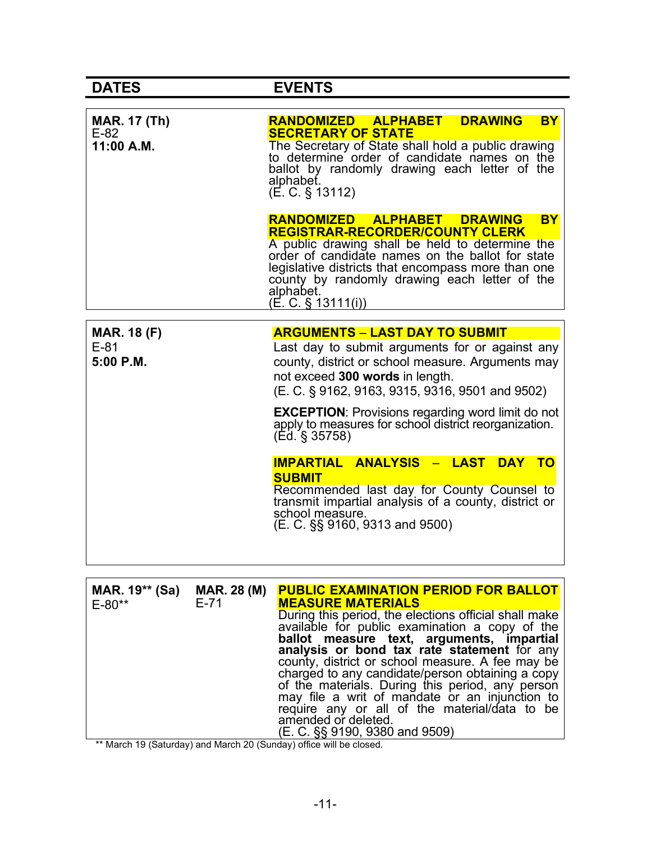r

| <b>MAR. 17 (Th)</b><br>$E-82$<br>11:00 A.M. | <b>DRAWING</b><br>RANDOMIZED ALPHABET I<br><b>BY</b><br><b>SECRETARY OF STATE</b><br>The Secretary of State shall hold a public drawing<br>to determine order of candidate names on the<br>ballot by randomly drawing each letter of the<br>alphabet.<br>$(E. C. \S 13112)$                                                                                                                                      |
|---------------------------------------------|------------------------------------------------------------------------------------------------------------------------------------------------------------------------------------------------------------------------------------------------------------------------------------------------------------------------------------------------------------------------------------------------------------------|
|                                             | RANDOMIZED ALPHABET DRAWING<br><b>BY</b><br><b>REGISTRAR-RECORDER/COUNTY CLERK</b><br>A public drawing shall be held to determine the<br>order of candidate names on the ballot for state<br>legislative districts that encompass more than one<br>county by randomly drawing each letter of the<br>alphabet.<br>$(E. C. \S 13111(i))$                                                                           |
| <b>MAR. 18 (F)</b><br>$E-81$<br>5:00 P.M.   | <b>ARGUMENTS - LAST DAY TO SUBMIT</b><br>Last day to submit arguments for or against any<br>county, district or school measure. Arguments may<br>not exceed 300 words in length.<br>(E. C. § 9162, 9163, 9315, 9316, 9501 and 9502)<br><b>EXCEPTION: Provisions regarding word limit do not</b><br>apply to measures for school district reorganization.<br>(Ed. § 35758)<br>IMPARTIAL ANALYSIS - LAST<br>DAY TO |
|                                             | <b>SUBMIT</b><br>Recommended last day for County Counsel to<br>transmit impartial analysis of a county, district or<br>school measure.<br>(E. C. §§ 9160, 9313 and 9500)                                                                                                                                                                                                                                         |

| MAR. 19 <sup>**</sup> (Sa)<br>$E - 80**$ | MAR. 28 (M)<br>$E-71$ | <b>PUBLIC EXAMINATION PERIOD FOR BALLOT</b><br><b>MEASURE MATERIALS</b>                                                                                                                                                                                     |
|------------------------------------------|-----------------------|-------------------------------------------------------------------------------------------------------------------------------------------------------------------------------------------------------------------------------------------------------------|
|                                          |                       | During this period, the elections official shall make<br>available for public examination a copy of the                                                                                                                                                     |
|                                          |                       | ballot measure text, arguments, impartial<br>analysis or bond tax rate statement for any                                                                                                                                                                    |
|                                          |                       | county, district or school measure. A fee may be<br>charged to any candidate/person obtaining a copy<br>of the materials. During this period, any person<br>may file a writ of mandate or an injunction to<br>require any or all of the material/data to be |
|                                          |                       | amended or deleted.                                                                                                                                                                                                                                         |
|                                          |                       | (E. C. §§ 9190, 9380 and 9509)                                                                                                                                                                                                                              |

\*\* March 19 (Saturday) and March 20 (Sunday) office will be closed.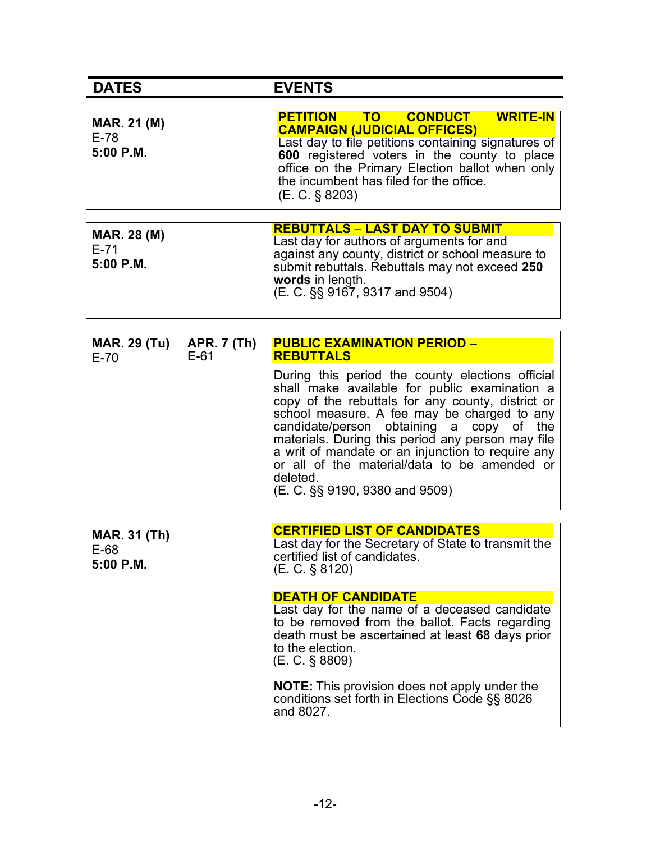| <b>DATES</b>                                | <b>EVENTS</b>                                                                                                                                                                                                                                                                             |
|---------------------------------------------|-------------------------------------------------------------------------------------------------------------------------------------------------------------------------------------------------------------------------------------------------------------------------------------------|
| <b>MAR. 21 (M)</b><br>$E-78$<br>$5:00$ P.M. | PETITION TO CONDUCT WRITE-IN<br><b>CAMPAIGN (JUDICIAL OFFICES)</b><br>Last day to file petitions containing signatures of<br>600 registered voters in the county to place<br>office on the Primary Election ballot when only<br>the incumbent has filed for the office.<br>(E. C. § 8203) |
| <b>MAR. 28 (M)</b><br>$E-71$<br>$5:00$ P.M. | <b>REBUTTALS - LAST DAY TO SUBMIT</b><br>Last day for authors of arguments for and<br>against any county, district or school measure to<br>submit rebuttals. Rebuttals may not exceed 250<br>words in length.<br>(E. C. §§ 9167, 9317 and 9504)                                           |

| <b>MAR. 29 (Tu)</b><br>$E-70$              | <b>APR. 7 (Th)</b><br>$E-61$ | <b>PUBLIC EXAMINATION PERIOD -</b><br><b>REBUTTALS</b>                                                                                                                                                                                                                                                                                                                                                                                                    |
|--------------------------------------------|------------------------------|-----------------------------------------------------------------------------------------------------------------------------------------------------------------------------------------------------------------------------------------------------------------------------------------------------------------------------------------------------------------------------------------------------------------------------------------------------------|
|                                            |                              | During this period the county elections official<br>shall make available for public examination a<br>copy of the rebuttals for any county, district or<br>school measure. A fee may be charged to any<br>candidate/person obtaining a copy of the<br>materials. During this period any person may file<br>a writ of mandate or an injunction to require any<br>or all of the material/data to be amended or<br>deleted.<br>(E. C. §§ 9190, 9380 and 9509) |
|                                            |                              |                                                                                                                                                                                                                                                                                                                                                                                                                                                           |
| <b>MAR. 31 (Th)</b><br>$E-68$<br>5:00 P.M. |                              | <b>CERTIFIED LIST OF CANDIDATES</b><br>Last day for the Secretary of State to transmit the<br>certified list of candidates.<br>(E. C. § 8120)                                                                                                                                                                                                                                                                                                             |
|                                            |                              | <b>DEATH OF CANDIDATE</b>                                                                                                                                                                                                                                                                                                                                                                                                                                 |
|                                            |                              | Last day for the name of a deceased candidate<br>to be removed from the ballot. Facts regarding<br>death must be ascertained at least 68 days prior<br>to the election.<br>$(E. C. \S 8809)$                                                                                                                                                                                                                                                              |
|                                            |                              | <b>NOTE:</b> This provision does not apply under the<br>conditions set forth in Elections Code §§ 8026<br>and 8027.                                                                                                                                                                                                                                                                                                                                       |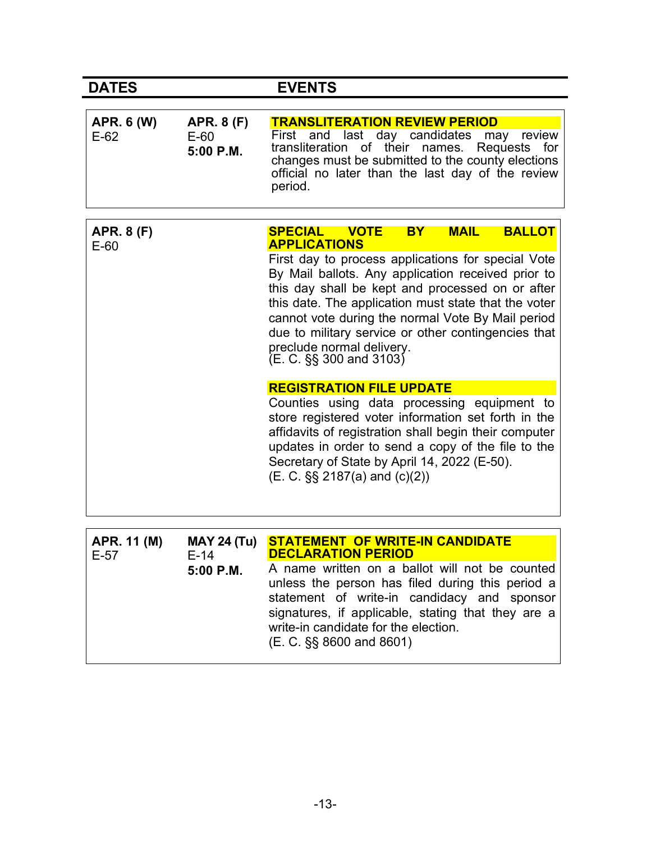| <b>DATES</b>                |                                            | <b>EVENTS</b>                                                                                                                                                                                                                                                                                                                                                                                |
|-----------------------------|--------------------------------------------|----------------------------------------------------------------------------------------------------------------------------------------------------------------------------------------------------------------------------------------------------------------------------------------------------------------------------------------------------------------------------------------------|
|                             |                                            |                                                                                                                                                                                                                                                                                                                                                                                              |
| <b>APR. 6 (W)</b><br>$E-62$ | <b>APR. 8 (F)</b><br>$E-60$<br>$5:00$ P.M. | <b>TRANSLITERATION REVIEW PERIOD</b><br>First and last day candidates may<br>review<br>transliteration of their names. Requests for<br>changes must be submitted to the county elections<br>official no later than the last day of the review<br>period.                                                                                                                                     |
| <b>APR. 8 (F)</b>           |                                            | <b>BALLOT</b><br><b>SPECIAL VOTE</b><br><b>MAIL</b><br><b>BY</b><br><b>APPLICATIONS</b>                                                                                                                                                                                                                                                                                                      |
| $E-60$                      |                                            | First day to process applications for special Vote<br>By Mail ballots. Any application received prior to<br>this day shall be kept and processed on or after<br>this date. The application must state that the voter<br>cannot vote during the normal Vote By Mail period<br>due to military service or other contingencies that<br>preclude normal delivery.<br>$(E. C. \S\S 300$ and 3103) |
|                             |                                            | <b>REGISTRATION FILE UPDATE</b>                                                                                                                                                                                                                                                                                                                                                              |
|                             |                                            | Counties using data processing equipment to<br>store registered voter information set forth in the<br>affidavits of registration shall begin their computer<br>updates in order to send a copy of the file to the<br>Secretary of State by April 14, 2022 (E-50).<br>$(E. C. \S\$ 2187(a) and $(c)(2)$                                                                                       |
|                             |                                            |                                                                                                                                                                                                                                                                                                                                                                                              |
| APR. 11 (M)<br>$E-57$       | <b>MAY 24 (Tu)</b><br>$E-14$               | <b>STATEMENT OF WRITE-IN CANDIDATE</b><br><b>DECLARATION PERIOD</b>                                                                                                                                                                                                                                                                                                                          |
|                             | 5:00 P.M.                                  | A name written on a ballot will not be counted<br>unless the person has filed during this period a<br>statement of write-in candidacy and sponsor<br>signatures, if applicable, stating that they are a<br>write-in candidate for the election.                                                                                                                                              |

(E. C. §§ 8600 and 8601)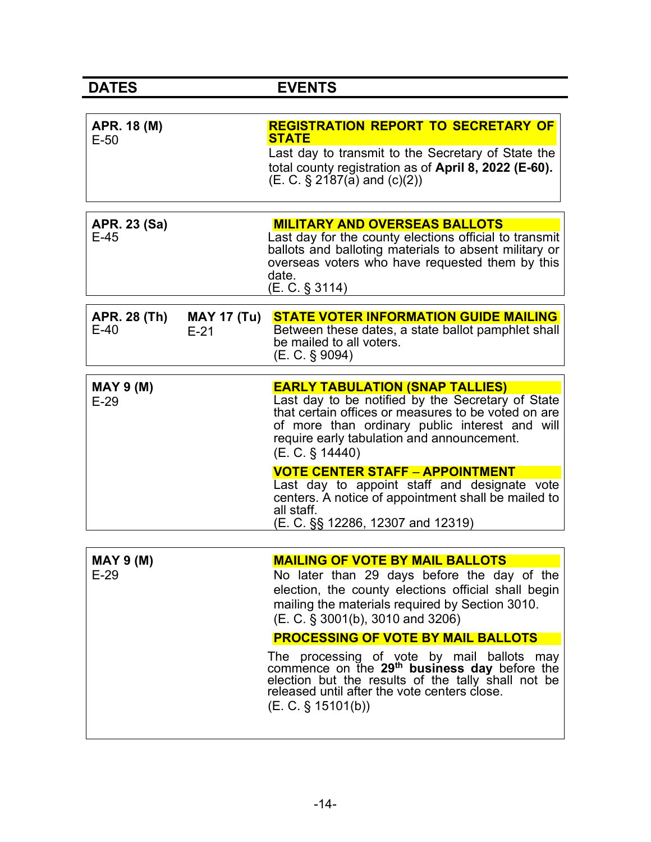| <b>DATES</b>                  |                              | <b>EVENTS</b>                                                                                                                                                                                                                                                         |
|-------------------------------|------------------------------|-----------------------------------------------------------------------------------------------------------------------------------------------------------------------------------------------------------------------------------------------------------------------|
|                               |                              |                                                                                                                                                                                                                                                                       |
| APR. 18 (M)<br>$E-50$         |                              | <b>REGISTRATION REPORT TO SECRETARY OF</b><br><b>STATE</b>                                                                                                                                                                                                            |
|                               |                              | Last day to transmit to the Secretary of State the<br>total county registration as of April 8, 2022 (E-60).<br>$(E. C. § 2187(a)$ and $(c)(2))$                                                                                                                       |
| <b>APR. 23 (Sa)</b><br>$E-45$ |                              | <b>MILITARY AND OVERSEAS BALLOTS</b><br>Last day for the county elections official to transmit<br>ballots and balloting materials to absent military or<br>overseas voters who have requested them by this<br>date.<br>(E. C. § 3114)                                 |
| <b>APR. 28 (Th)</b><br>$E-40$ | <b>MAY 17 (Tu)</b><br>$E-21$ | <b>STATE VOTER INFORMATION GUIDE MAILING</b><br>Between these dates, a state ballot pamphlet shall<br>be mailed to all voters.<br>$(E. C. \S 9094)$                                                                                                                   |
| <b>MAY 9 (M)</b><br>$E-29$    |                              | <b>EARLY TABULATION (SNAP TALLIES)</b><br>Last day to be notified by the Secretary of State<br>that certain offices or measures to be voted on are<br>of more than ordinary public interest and will<br>require early tabulation and announcement.<br>(E. C. § 14440) |
|                               |                              | <b>VOTE CENTER STAFF - APPOINTMENT</b>                                                                                                                                                                                                                                |
|                               |                              | Last day to appoint staff and designate vote<br>centers. A notice of appointment shall be mailed to<br>all staff.<br>(E. C. §§ 12286, 12307 and 12319)                                                                                                                |
|                               |                              |                                                                                                                                                                                                                                                                       |
| MAY 9 (M)                     |                              | <b>MAILING OF VOTE BY MAIL BALLOTS</b>                                                                                                                                                                                                                                |
| $E-29$                        |                              | No later than 29 days before the day of the<br>election, the county elections official shall begin<br>mailing the materials required by Section 3010.<br>(E. C. § 3001(b), 3010 and 3206)                                                                             |
|                               |                              | <b>PROCESSING OF VOTE BY MAIL BALLOTS</b>                                                                                                                                                                                                                             |
|                               |                              | The processing of vote by mail ballots may<br>commence on the 29 <sup>th</sup> business day before the<br>election but the results of the tally shall not be                                                                                                          |

(E. C. § 15101(b))

released until after the vote centers close.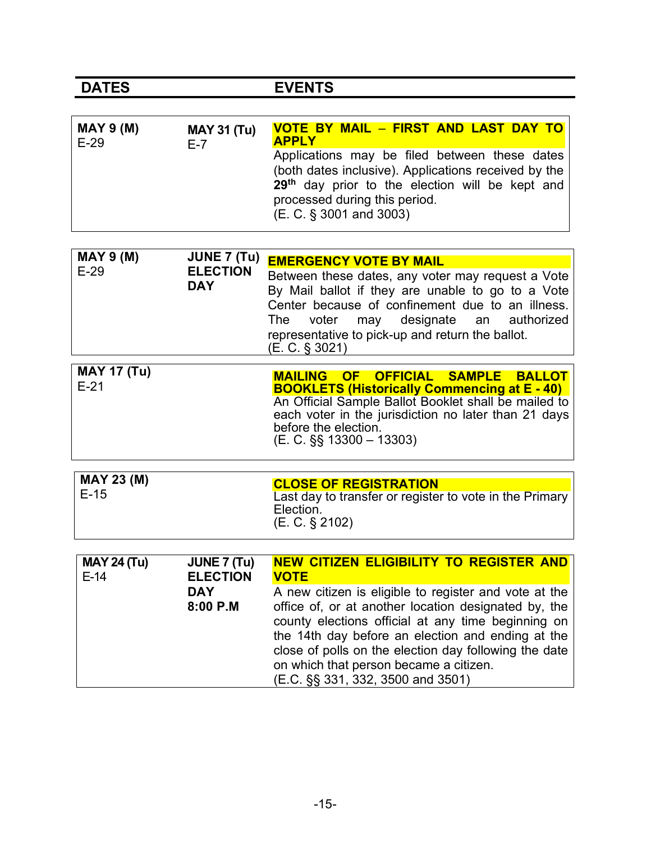| <b>MAY 9 (M)</b> | <b>MAY 31 (Tu)</b> | VOTE BY MAIL - FIRST AND LAST DAY TO                                                                                                                                                                                             |
|------------------|--------------------|----------------------------------------------------------------------------------------------------------------------------------------------------------------------------------------------------------------------------------|
| $E-29$           | F-7                | <b>APPLY</b>                                                                                                                                                                                                                     |
|                  |                    | Applications may be filed between these dates<br>(both dates inclusive). Applications received by the<br>29 <sup>th</sup> day prior to the election will be kept and<br>processed during this period.<br>(E. C. § 3001 and 3003) |

| <b>MAY 9 (M)</b><br>$E-29$ | JUNE 7 (Tu)<br><b>ELECTION</b><br><b>DAY</b> | <b>EMERGENCY VOTE BY MAIL</b><br>Between these dates, any voter may request a Vote<br>By Mail ballot if they are unable to go to a Vote<br>Center because of confinement due to an illness.<br>may designate an authorized<br>voter<br>The<br>representative to pick-up and return the ballot.<br>$(E. C. \S. 3021)$ |
|----------------------------|----------------------------------------------|----------------------------------------------------------------------------------------------------------------------------------------------------------------------------------------------------------------------------------------------------------------------------------------------------------------------|
| <b>MAY 17 (Tu)</b>         |                                              | OF OFFICIAL<br><b>SAMPLE</b><br><b>MAILING</b><br><b>RAILOT</b>                                                                                                                                                                                                                                                      |

| <b>MATI</b> (IU) | MAILING OF OFFICIAL SAMPLE BALLOT                    |
|------------------|------------------------------------------------------|
| $E-21$           | <b>BOOKLETS (Historically Commencing at E - 40)</b>  |
|                  | An Official Sample Ballot Booklet shall be mailed to |
|                  | each voter in the jurisdiction no later than 21 days |
|                  | before the election.                                 |
|                  | $(E. C. \$ §§ 13300 - 13303)                         |
|                  |                                                      |

| <b>MAY 24 (Tu)</b><br>$E-14$ | JUNE 7 (Tu)<br><b>ELECTION</b> | <b>NEW CITIZEN ELIGIBILITY TO REGISTER AND</b><br><b>VOTE</b>                                                                                                                                                                                                                                           |
|------------------------------|--------------------------------|---------------------------------------------------------------------------------------------------------------------------------------------------------------------------------------------------------------------------------------------------------------------------------------------------------|
|                              | <b>DAY</b>                     | A new citizen is eligible to register and vote at the                                                                                                                                                                                                                                                   |
|                              | 8:00 P.M                       | office of, or at another location designated by, the<br>county elections official at any time beginning on<br>the 14th day before an election and ending at the<br>close of polls on the election day following the date<br>on which that person became a citizen.<br>(E.C. §§ 331, 332, 3500 and 3501) |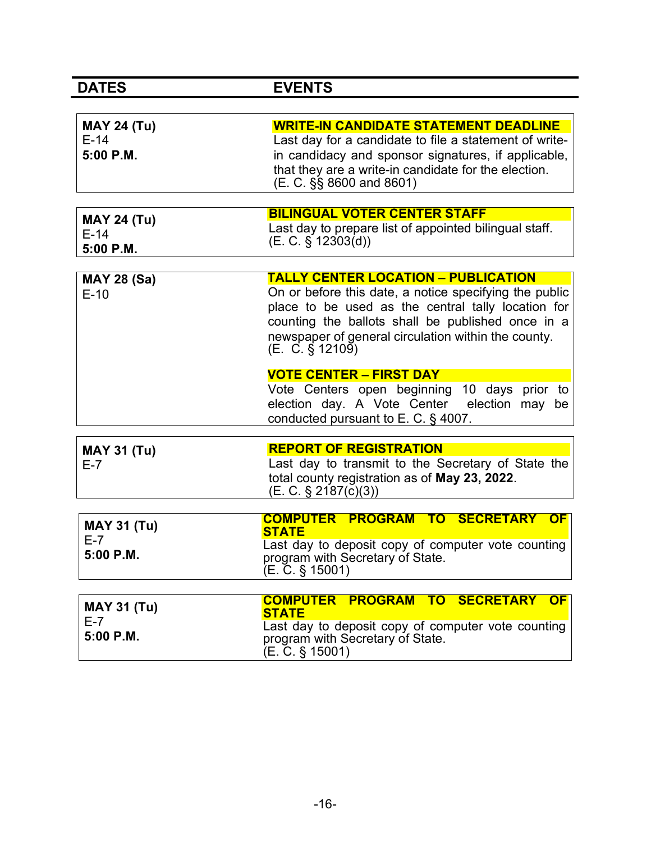| <b>DATES</b>                              | <b>EVENTS</b>                                                                                                                                                                                                                                                                                |
|-------------------------------------------|----------------------------------------------------------------------------------------------------------------------------------------------------------------------------------------------------------------------------------------------------------------------------------------------|
|                                           |                                                                                                                                                                                                                                                                                              |
| <b>MAY 24 (Tu)</b><br>$E-14$<br>5:00 P.M. | <b>WRITE-IN CANDIDATE STATEMENT DEADLINE</b><br>Last day for a candidate to file a statement of write-<br>in candidacy and sponsor signatures, if applicable,<br>that they are a write-in candidate for the election.<br>(E. C. §§ 8600 and 8601)                                            |
| <b>MAY 24 (Tu)</b><br>$E-14$<br>5:00 P.M. | <b>BILINGUAL VOTER CENTER STAFF</b><br>Last day to prepare list of appointed bilingual staff.<br>$(E. C. \S 12303(d))$                                                                                                                                                                       |
| <b>MAY 28 (Sa)</b><br>$E-10$              | <b>TALLY CENTER LOCATION - PUBLICATION</b><br>On or before this date, a notice specifying the public<br>place to be used as the central tally location for<br>counting the ballots shall be published once in a<br>newspaper of general circulation within the county.<br>$(E. C. \S 12109)$ |
|                                           | <b>VOTE CENTER - FIRST DAY</b><br>Vote Centers open beginning 10 days prior to<br>election day. A Vote Center<br>election may be<br>conducted pursuant to $E. C.$ § 4007.                                                                                                                    |
| <b>MAY 31 (Tu)</b><br>$E-7$               | <b>REPORT OF REGISTRATION</b><br>Last day to transmit to the Secretary of State the<br>total county registration as of May 23, 2022.<br>$(E. C. \S 2187(c)(3))$                                                                                                                              |
| <b>MAY 31 (Tu)</b><br>$E-7$<br>5:00 P.M.  | COMPUTER PROGRAM TO SECRETARY<br><b>OF</b><br><b>STATE</b><br>Last day to deposit copy of computer vote counting<br>program with Secretary of State.<br>$(E. \tilde{C}. \S 15001)$                                                                                                           |
| <b>MAY 31 (Tu)</b><br>$E-7$<br>5:00 P.M.  | <b>COMPUTER PROGRAM TO SECRETARY OF</b><br><b>STATE</b><br>Last day to deposit copy of computer vote counting<br>program with Secretary of State.<br>$(E. \tilde{C}. \S 15001)$                                                                                                              |